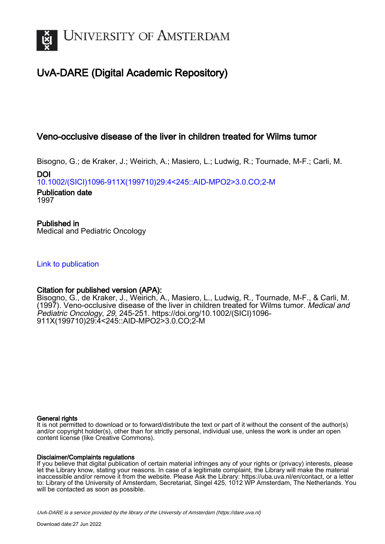

# UvA-DARE (Digital Academic Repository)

## Veno-occlusive disease of the liver in children treated for Wilms tumor

Bisogno, G.; de Kraker, J.; Weirich, A.; Masiero, L.; Ludwig, R.; Tournade, M-F.; Carli, M.

DOI [10.1002/\(SICI\)1096-911X\(199710\)29:4<245::AID-MPO2>3.0.CO;2-M](https://doi.org/10.1002/(SICI)1096-911X(199710)29:4<245::AID-MPO2>3.0.CO;2-M)

Publication date 1997

Published in Medical and Pediatric Oncology

[Link to publication](https://dare.uva.nl/personal/pure/en/publications/venoocclusive-disease-of-the-liver-in-children-treated-for-wilms-tumor(8351fa9d-6674-49de-9b94-bf924890043d).html)

## Citation for published version (APA):

Bisogno, G., de Kraker, J., Weirich, A., Masiero, L., Ludwig, R., Tournade, M-F., & Carli, M. (1997). Veno-occlusive disease of the liver in children treated for Wilms tumor. Medical and Pediatric Oncology, 29, 245-251. [https://doi.org/10.1002/\(SICI\)1096-](https://doi.org/10.1002/(SICI)1096-911X(199710)29:4<245::AID-MPO2>3.0.CO;2-M) [911X\(199710\)29:4<245::AID-MPO2>3.0.CO;2-M](https://doi.org/10.1002/(SICI)1096-911X(199710)29:4<245::AID-MPO2>3.0.CO;2-M)

## General rights

It is not permitted to download or to forward/distribute the text or part of it without the consent of the author(s) and/or copyright holder(s), other than for strictly personal, individual use, unless the work is under an open content license (like Creative Commons).

## Disclaimer/Complaints regulations

If you believe that digital publication of certain material infringes any of your rights or (privacy) interests, please let the Library know, stating your reasons. In case of a legitimate complaint, the Library will make the material inaccessible and/or remove it from the website. Please Ask the Library: https://uba.uva.nl/en/contact, or a letter to: Library of the University of Amsterdam, Secretariat, Singel 425, 1012 WP Amsterdam, The Netherlands. You will be contacted as soon as possible.

UvA-DARE is a service provided by the library of the University of Amsterdam (http*s*://dare.uva.nl)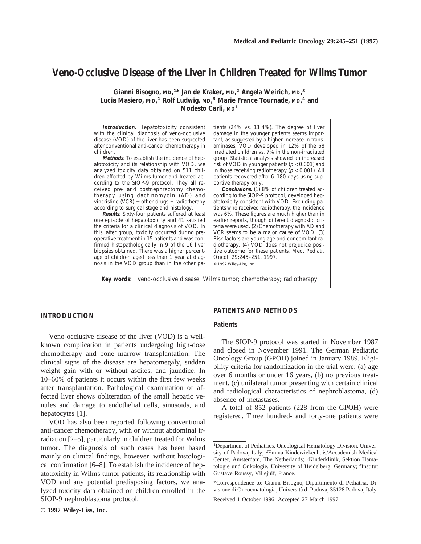## **Veno-Occlusive Disease of the Liver in Children Treated for Wilms Tumor**

**Gianni Bisogno, MD, 1\* Jan de Kraker, MD, <sup>2</sup> Angela Weirich, MD, 3 Lucia Masiero, PhD, <sup>1</sup> Rolf Ludwig, MD, <sup>3</sup> Marie France Tournade, MD, <sup>4</sup> and Modesto Carli, MD<sup>1</sup>**

**Introduction.** Hepatotoxicity consistent with the clinical diagnosis of veno-occlusive disease (VOD) of the liver has been suspected after conventional anti-cancer chemotherapy in children.

**Methods.** To establish the incidence of hepatotoxicity and its relationship with VOD, we analyzed toxicity data obtained on 511 children affected by Wilms tumor and treated according to the SIOP-9 protocol. They all received pre- and postnephrectomy chemotherapy using dactinomycin (AD) and vincristine (VCR)  $\pm$  other drugs  $\pm$  radiotherapy according to surgical stage and histology.

**Results.** Sixty-four patients suffered at least one episode of hepatotoxicity and 41 satisfied the criteria for a clinical diagnosis of VOD. In this latter group, toxicity occurred during preoperative treatment in 15 patients and was confirmed histopathologically in 9 of the 16 liver biopsies obtained. There was a higher percentage of children aged less than 1 year at diagnosis in the VOD group than in the other patients (24% vs. 11.4%). The degree of liver damage in the younger patients seems important, as suggested by a higher increase in transaminases. VOD developed in 12% of the 68 irradiated children vs. 7% in the non-irradiated group. Statistical analysis showed an increased risk of VOD in younger patients ( $p < 0.001$ ) and in those receiving radiotherapy ( $p < 0.001$ ). All patients recovered after 6–180 days using supportive therapy only.

**Conclusions.** (1) 8% of children treated according to the SIOP-9 protocol, developed hepatotoxicity consistent with VOD. Excluding patients who received radiotherapy, the incidence was 6%. These figures are much higher than in earlier reports, though different diagnostic criteria were used. (2) Chemotherapy with AD and VCR seems to be a major cause of VOD. (3) Risk factors are young age and concomitant radiotherapy. (4) VOD does not prejudice positive outcome for these patients. Med. Pediatr. Oncol. 29:245–251, 1997. © 1997 Wiley-Liss, Inc.

**Key words:** veno-occlusive disease; Wilms tumor; chemotherapy; radiotherapy

## **INTRODUCTION**

Veno-occlusive disease of the liver (VOD) is a wellknown complication in patients undergoing high-dose chemotherapy and bone marrow transplantation. The clinical signs of the disease are hepatomegaly, sudden weight gain with or without ascites, and jaundice. In 10–60% of patients it occurs within the first few weeks after transplantation. Pathological examination of affected liver shows obliteration of the small hepatic venules and damage to endothelial cells, sinusoids, and hepatocytes [1].

VOD has also been reported following conventional anti-cancer chemotherapy, with or without abdominal irradiation [2–5], particularly in children treated for Wilms tumor. The diagnosis of such cases has been based mainly on clinical findings, however, without histological confirmation [6–8]. To establish the incidence of hepatotoxicity in Wilms tumor patients, its relationship with VOD and any potential predisposing factors, we analyzed toxicity data obtained on children enrolled in the SIOP-9 nephroblastoma protocol.

### **PATIENTS AND METHODS**

#### **Patients**

The SIOP-9 protocol was started in November 1987 and closed in November 1991. The German Pediatric Oncology Group (GPOH) joined in January 1989. Eligibility criteria for randomization in the trial were: (a) age over 6 months or under 16 years, (b) no previous treatment, (c) unilateral tumor presenting with certain clinical and radiological characteristics of nephroblastoma, (d) absence of metastases.

A total of 852 patients (228 from the GPOH) were registered. Three hundred- and forty-one patients were

<sup>&</sup>lt;sup>1</sup>Department of Pediatrics, Oncological Hematology Division, University of Padova, Italy; <sup>2</sup> Emma Kinderziekenhuis/Accademish Medical Center, Amsterdam, The Netherlands; <sup>3</sup>Kinderklinik, Sektion Hämatologie und Onkologie, University of Heidelberg, Germany; <sup>4</sup>Institut Gustave Roussy, Villejuif, France.

<sup>\*</sup>Correspondence to: Gianni Bisogno, Dipartimento di Pediatria, Divisione di Oncoematologia, Universita` di Padova, 35128 Padova, Italy.

Received 1 October 1996; Accepted 27 March 1997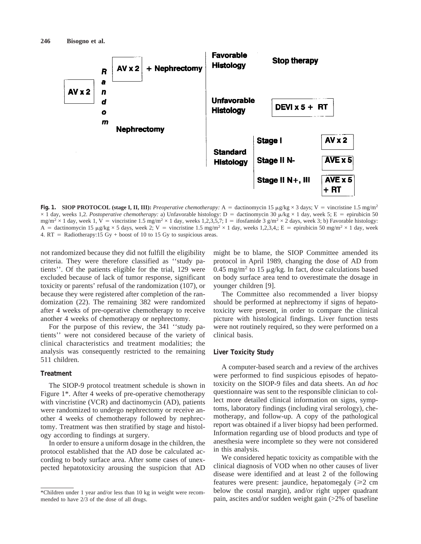

**Fig. 1. SIOP PROTOCOL (stage I, II, III):** *Preoperative chemotherapy:* A = dactinomycin 15  $\mu g/kg \times 3$  days; V = vincristine 1.5 mg/m<sup>2</sup>  $\times$  1 day, weeks 1,2. *Postoperative chemotherapy:* a) Unfavorable histology: D = dactinomycin 30  $\mu$ /kg  $\times$  1 day, week 5; E = epirubicin 50 mg/m<sup>2</sup> × 1 day, week 1, V = vincristine 1.5 mg/m<sup>2</sup> × 1 day, weeks 1,2,3,5,7; I = ifosfamide 3 g/m<sup>2</sup> × 2 days, week 3; b) Favorable histology: A = dactinomycin 15  $\mu$ g/kg × 5 days, week 2; V = vincristine 1.5 mg/m<sup>2</sup> × 1 day, weeks 1,2,3,4,; E = epirubicin 50 mg/m<sup>2</sup> × 1 day, week 4.  $RT =$  Radiotherapy:15 Gy + boost of 10 to 15 Gy to suspicious areas.

not randomized because they did not fulfill the eligibility criteria. They were therefore classified as ''study patients''. Of the patients eligible for the trial, 129 were excluded because of lack of tumor response, significant toxicity or parents' refusal of the randomization (107), or because they were registered after completion of the randomization (22). The remaining 382 were randomized after 4 weeks of pre-operative chemotherapy to receive another 4 weeks of chemotherapy or nephrectomy.

For the purpose of this review, the 341 ''study patients'' were not considered because of the variety of clinical characteristics and treatment modalities; the analysis was consequently restricted to the remaining 511 children.

### **Treatment**

The SIOP-9 protocol treatment schedule is shown in Figure 1\*. After 4 weeks of pre-operative chemotherapy with vincristine (VCR) and dactinomycin (AD), patients were randomized to undergo nephrectomy or receive another 4 weeks of chemotherapy followed by nephrectomy. Treatment was then stratified by stage and histology according to findings at surgery.

In order to ensure a uniform dosage in the children, the protocol established that the AD dose be calculated according to body surface area. After some cases of unexpected hepatotoxicity arousing the suspicion that AD might be to blame, the SIOP Committee amended its protocol in April 1989, changing the dose of AD from 0.45 mg/m<sup>2</sup> to 15  $\mu$ g/kg. In fact, dose calculations based on body surface area tend to overestimate the dosage in younger children [9].

The Committee also recommended a liver biopsy should be performed at nephrectomy if signs of hepatotoxicity were present, in order to compare the clinical picture with histological findings. Liver function tests were not routinely required, so they were performed on a clinical basis.

#### **Liver Toxicity Study**

A computer-based search and a review of the archives were performed to find suspicious episodes of hepatotoxicity on the SIOP-9 files and data sheets. An *ad hoc* questionnaire was sent to the responsible clinician to collect more detailed clinical information on signs, symptoms, laboratory findings (including viral serology), chemotherapy, and follow-up. A copy of the pathological report was obtained if a liver biopsy had been performed. Information regarding use of blood products and type of anesthesia were incomplete so they were not considered in this analysis.

We considered hepatic toxicity as compatible with the clinical diagnosis of VOD when no other causes of liver disease were identified and at least 2 of the following features were present: jaundice, hepatomegaly  $(\geq 2 \text{ cm})$ below the costal margin), and/or right upper quadrant pain, ascites and/or sudden weight gain (>2% of baseline

<sup>\*</sup>Children under 1 year and/or less than 10 kg in weight were recommended to have 2/3 of the dose of all drugs.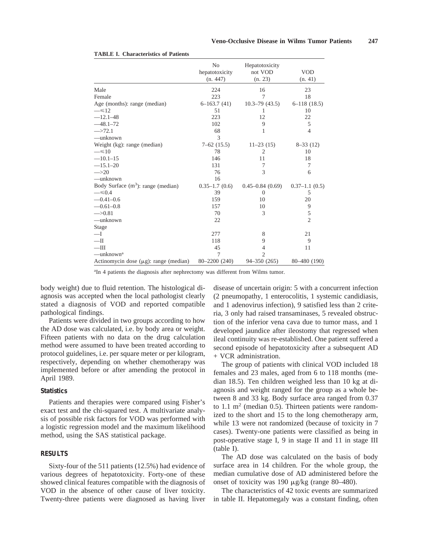|                                             | N <sub>0</sub>             | Hepatotoxicity      |                       |
|---------------------------------------------|----------------------------|---------------------|-----------------------|
|                                             | hepatotoxicity<br>(n. 447) | not VOD<br>(n. 23)  | <b>VOD</b><br>(n. 41) |
| Male                                        | 224                        | 16                  | 23                    |
| Female                                      | 223                        | 7                   | 18                    |
| Age (months): range (median)                | $6-163.7(41)$              | $10.3 - 79(43.5)$   | $6-118(18.5)$         |
| $\equiv$ 512                                | 51                         | 1                   | 10                    |
| $-12.1 - 48$                                | 223                        | 12                  | 22                    |
| $-48.1 - 72$                                | 102                        | 9                   | 5                     |
| $\rightarrow 72.1$                          | 68                         | 1                   | 4                     |
| —unknown                                    | 3                          |                     |                       |
| Weight (kg): range (median)                 | $7-62$ (15.5)              | $11-23(15)$         | $8-33(12)$            |
| $=$ $\leq$ 10                               | 78                         | $\overline{2}$      | 10                    |
| $-10.1-15$                                  | 146                        | 11                  | 18                    |
| $-15.1 - 20$                                | 131                        | 7                   | 7                     |
| $\rightarrow 20$                            | 76                         | 3                   | 6                     |
| $-\n$ unknown                               | 16                         |                     |                       |
| Body Surface $(m^3)$ : range (median)       | $0.35 - 1.7(0.6)$          | $0.45 - 0.84(0.69)$ | $0.37-1.1(0.5)$       |
| $\equiv 0.4$                                | 39                         | $\theta$            | 5                     |
| $-0.41 - 0.6$                               | 159                        | 10                  | 20                    |
| $-0.61 - 0.8$                               | 157                        | 10                  | 9                     |
| $\rightarrow 0.81$                          | 70                         | 3                   | 5                     |
| —unknown                                    | 22                         |                     | $\overline{c}$        |
| Stage                                       |                            |                     |                       |
| $-\mathbf{I}$                               | 277                        | 8                   | 21                    |
| $-\text{II}$                                | 118                        | 9                   | 9                     |
| $-\text{III}$                               | 45                         | $\overline{4}$      | 11                    |
| —unknown <sup>a</sup>                       | 7                          | $\overline{2}$      |                       |
| Actinomycin dose $(\mu g)$ : range (median) | 80-2200 (240)              | 94-350 (265)        | 80-480 (190)          |

#### **TABLE I. Characteristics of Patients**

<sup>a</sup>In 4 patients the diagnosis after nephrectomy was different from Wilms tumor.

body weight) due to fluid retention. The histological diagnosis was accepted when the local pathologist clearly stated a diagnosis of VOD and reported compatible pathological findings.

Patients were divided in two groups according to how the AD dose was calculated, i.e. by body area or weight. Fifteen patients with no data on the drug calculation method were assumed to have been treated according to protocol guidelines, i.e. per square meter or per kilogram, respectively, depending on whether chemotherapy was implemented before or after amending the protocol in April 1989.

#### **Statistics**

Patients and therapies were compared using Fisher's exact test and the chi-squared test. A multivariate analysis of possible risk factors for VOD was performed with a logistic regression model and the maximum likelihood method, using the SAS statistical package.

## **RESULTS**

Sixty-four of the 511 patients (12.5%) had evidence of various degrees of hepatotoxicity. Forty-one of these showed clinical features compatible with the diagnosis of VOD in the absence of other cause of liver toxicity. Twenty-three patients were diagnosed as having liver

disease of uncertain origin: 5 with a concurrent infection (2 pneumopathy, 1 enterocolitis, 1 systemic candidiasis, and 1 adenovirus infection), 9 satisfied less than 2 criteria, 3 only had raised transaminases, 5 revealed obstruction of the inferior vena cava due to tumor mass, and 1 developed jaundice after ileostomy that regressed when ileal continuity was re-established. One patient suffered a second episode of hepatotoxicity after a subsequent AD + VCR administration.

The group of patients with clinical VOD included 18 females and 23 males, aged from 6 to 118 months (median 18.5). Ten children weighed less than 10 kg at diagnosis and weight ranged for the group as a whole between 8 and 33 kg. Body surface area ranged from 0.37 to 1.1  $m<sup>2</sup>$  (median 0.5). Thirteen patients were randomized to the short and 15 to the long chemotherapy arm, while 13 were not randomized (because of toxicity in 7 cases). Twenty-one patients were classified as being in post-operative stage I, 9 in stage II and 11 in stage III (table I).

The AD dose was calculated on the basis of body surface area in 14 children. For the whole group, the median cumulative dose of AD administered before the onset of toxicity was 190  $\mu$ g/kg (range 80–480).

The characteristics of 42 toxic events are summarized in table II. Hepatomegaly was a constant finding, often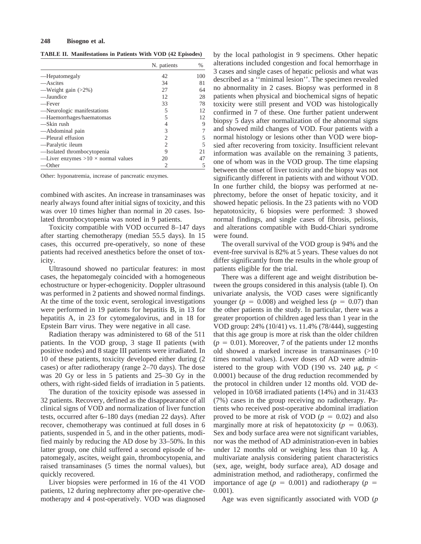#### **248 Bisogno et al.**

**TABLE II. Manifestations in Patients With VOD (42 Episodes)**

|                                           | N. patients                 | $\%$ |
|-------------------------------------------|-----------------------------|------|
| —Hepatomegaly                             | 42                          | 100  |
| —Ascites                                  | 34                          | 81   |
| —Weight gain $(>2\%)$                     | 27                          | 64   |
| —Jaundice                                 | 12                          | 28   |
| —Fever                                    | 33                          | 78   |
| —Neurologic manifestations                | 5                           | 12   |
| -Haemorrhages/haematomas                  | 5                           | 12   |
| —Skin rush                                | 4                           | 9    |
| —Abdominal pain                           | 3                           |      |
| -Pleural effusion                         | $\mathcal{D}_{\mathcal{L}}$ | 5    |
| —Paralytic ileum                          | 2                           | 5    |
| -Isolated thrombocytopenia                | 9                           | 21   |
| —Liver enzymes $>10 \times$ normal values | 20                          | 47   |
| —Other                                    | 2                           | 5    |

Other: hyponatremia, increase of pancreatic enzymes.

combined with ascites. An increase in transaminases was nearly always found after initial signs of toxicity, and this was over 10 times higher than normal in 20 cases. Isolated thrombocytopenia was noted in 9 patients.

Toxicity compatible with VOD occurred 8–147 days after starting chemotherapy (median 55.5 days). In 15 cases, this occurred pre-operatively, so none of these patients had received anesthetics before the onset of toxicity.

Ultrasound showed no particular features: in most cases, the hepatomegaly coincided with a homogeneous echostructure or hyper-echogenicity. Doppler ultrasound was performed in 2 patients and showed normal findings. At the time of the toxic event, serological investigations were performed in 19 patients for hepatitis B, in 13 for hepatitis A, in 23 for cytomegalovirus, and in 18 for Epstein Barr virus. They were negative in all case.

Radiation therapy was administered to 68 of the 511 patients. In the VOD group, 3 stage II patients (with positive nodes) and 8 stage III patients were irradiated. In 10 of these patients, toxicity developed either during (2 cases) or after radiotherapy (range 2–70 days). The dose was 20 Gy or less in 5 patients and 25–30 Gy in the others, with right-sided fields of irradiation in 5 patients.

The duration of the toxicity episode was assessed in 32 patients. Recovery, defined as the disappearance of all clinical signs of VOD and normalization of liver function tests, occurred after 6–180 days (median 22 days). After recover, chemotherapy was continued at full doses in 6 patients, suspended in 5, and in the other patients, modified mainly by reducing the AD dose by 33–50%. In this latter group, one child suffered a second episode of hepatomegaly, ascites, weight gain, thrombocytopenia, and raised transaminases (5 times the normal values), but quickly recovered.

Liver biopsies were performed in 16 of the 41 VOD patients, 12 during nephrectomy after pre-operative chemotherapy and 4 post-operatively. VOD was diagnosed by the local pathologist in 9 specimens. Other hepatic alterations included congestion and focal hemorrhage in 3 cases and single cases of hepatic peliosis and what was described as a ''minimal lesion''. The specimen revealed no abnormality in 2 cases. Biopsy was performed in 8 patients when physical and biochemical signs of hepatic toxicity were still present and VOD was histologically confirmed in 7 of these. One further patient underwent biopsy 5 days after normalization of the abnormal signs and showed mild changes of VOD. Four patients with a normal histology or lesions other than VOD were biopsied after recovering from toxicity. Insufficient relevant information was available on the remaining 3 patients, one of whom was in the VOD group. The time elapsing between the onset of liver toxicity and the biopsy was not significantly different in patients with and without VOD. In one further child, the biopsy was performed at nephrectomy, before the onset of hepatic toxicity, and it showed hepatic peliosis. In the 23 patients with no VOD hepatotoxicity, 6 biopsies were performed: 3 showed normal findings, and single cases of fibrosis, peliosis, and alterations compatible with Budd-Chiari syndrome were found.

The overall survival of the VOD group is 94% and the event-free survival is 82% at 5 years. These values do not differ significantly from the results in the whole group of patients eligible for the trial.

There was a different age and weight distribution between the groups considered in this analysis (table I). On univariate analysis, the VOD cases were significantly younger ( $p = 0.008$ ) and weighed less ( $p = 0.07$ ) than the other patients in the study. In particular, there was a greater proportion of children aged less than 1 year in the VOD group: 24% (10/41) vs. 11.4% (78/444), suggesting that this age group is more at risk than the older children  $(p = 0.01)$ . Moreover, 7 of the patients under 12 months old showed a marked increase in transaminases (>10 times normal values). Lower doses of AD were administered to the group with VOD (190 vs. 240  $\mu$ g, *p* < 0.0001) because of the drug reduction recommended by the protocol in children under 12 months old. VOD developed in 10/68 irradiated patients (14%) and in 31/433 (7%) cases in the group receiving no radiotherapy. Patients who received post-operative abdominal irradiation proved to be more at risk of VOD ( $p = 0.02$ ) and also marginally more at risk of hepatotoxicity ( $p = 0.063$ ). Sex and body surface area were not significant variables, nor was the method of AD administration-even in babies under 12 months old or weighing less than 10 kg. A multivariate analysis considering patient characteristics (sex, age, weight, body surface area), AD dosage and administration method, and radiotherapy, confirmed the importance of age ( $p = 0.001$ ) and radiotherapy ( $p =$ 0.001).

Age was even significantly associated with VOD (*p*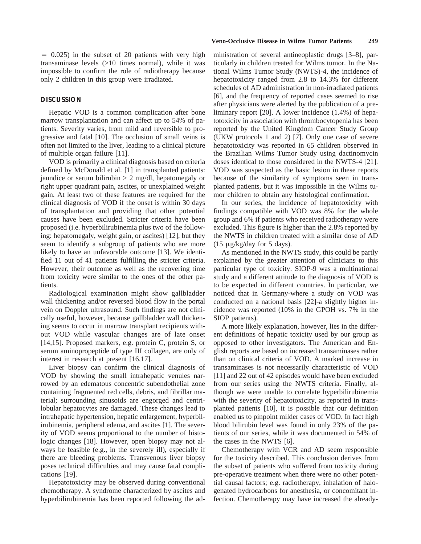$= 0.025$ ) in the subset of 20 patients with very high transaminase levels (>10 times normal), while it was impossible to confirm the role of radiotherapy because only 2 children in this group were irradiated.

#### **DISCUSSION**

Hepatic VOD is a common complication after bone marrow transplantation and can affect up to 54% of patients. Severity varies, from mild and reversible to progressive and fatal [10]. The occlusion of small veins is often not limited to the liver, leading to a clinical picture of multiple organ failure [11].

VOD is primarily a clinical diagnosis based on criteria defined by McDonald et al. [1] in transplanted patients: jaundice or serum bilirubin  $> 2$  mg/dl, hepatomegaly or right upper quadrant pain, ascites, or unexplained weight gain. At least two of these features are required for the clinical diagnosis of VOD if the onset is within 30 days of transplantation and providing that other potential causes have been excluded. Stricter criteria have been proposed (i.e. hyperbilirubinemia plus two of the following: hepatomegaly, weight gain, or ascites) [12], but they seem to identify a subgroup of patients who are more likely to have an unfavorable outcome [13]. We identified 11 out of 41 patients fulfilling the stricter criteria. However, their outcome as well as the recovering time from toxicity were similar to the ones of the other patients.

Radiological examination might show gallbladder wall thickening and/or reversed blood flow in the portal vein on Doppler ultrasound. Such findings are not clinically useful, however, because gallbladder wall thickening seems to occur in marrow transplant recipients without VOD while vascular changes are of late onset [14,15]. Proposed markers, e.g. protein C, protein S, or serum aminopropeptide of type III collagen, are only of interest in research at present [16,17].

Liver biopsy can confirm the clinical diagnosis of VOD by showing the small intrahepatic venules narrowed by an edematous concentric subendothelial zone containing fragmented red cells, debris, and fibrillar material; surrounding sinusoids are engorged and centrilobular hepatocytes are damaged. These changes lead to intrahepatic hypertension, hepatic enlargement, hyperbilirubinemia, peripheral edema, and ascites [1]. The severity of VOD seems proportional to the number of histologic changes [18]. However, open biopsy may not always be feasible (e.g., in the severely ill), especially if there are bleeding problems. Transvenous liver biopsy poses technical difficulties and may cause fatal complications [19].

Hepatotoxicity may be observed during conventional chemotherapy. A syndrome characterized by ascites and hyperbilirubinemia has been reported following the administration of several antineoplastic drugs [3–8], particularly in children treated for Wilms tumor. In the National Wilms Tumor Study (NWTS)-4, the incidence of hepatotoxicity ranged from 2.8 to 14.3% for different schedules of AD administration in non-irradiated patients [6], and the frequency of reported cases seemed to rise after physicians were alerted by the publication of a preliminary report [20]. A lower incidence (1.4%) of hepatotoxicity in association with thrombocytopenia has been reported by the United Kingdom Cancer Study Group (UKW protocols 1 and 2) [7]. Only one case of severe hepatotoxicity was reported in 65 children observed in the Brazilian Wilms Tumor Study using dactinomycin doses identical to those considered in the NWTS-4 [21]. VOD was suspected as the basic lesion in these reports because of the similarity of symptoms seen in transplanted patients, but it was impossible in the Wilms tumor children to obtain any histological confirmation.

In our series, the incidence of hepatotoxicity with findings compatible with VOD was 8% for the whole group and 6% if patients who received radiotherapy were excluded. This figure is higher than the 2.8% reported by the NWTS in children treated with a similar dose of AD  $(15 \mu g/kg/day$  for 5 days).

As mentioned in the NWTS study, this could be partly explained by the greater attention of clinicians to this particular type of toxicity. SIOP-9 was a multinational study and a different attitude to the diagnosis of VOD is to be expected in different countries. In particular, we noticed that in Germany-where a study on VOD was conducted on a national basis [22]-a slightly higher incidence was reported (10% in the GPOH vs. 7% in the SIOP patients).

A more likely explanation, however, lies in the different definitions of hepatic toxicity used by our group as opposed to other investigators. The American and English reports are based on increased transaminases rather than on clinical criteria of VOD. A marked increase in transaminases is not necessarily characteristic of VOD [11] and 22 out of 42 episodes would have been excluded from our series using the NWTS criteria. Finally, although we were unable to correlate hyperbilirubinemia with the severity of hepatotoxicity, as reported in transplanted patients [10], it is possible that our definition enabled us to pinpoint milder cases of VOD. In fact high blood bilirubin level was found in only 23% of the patients of our series, while it was documented in 54% of the cases in the NWTS [6].

Chemotherapy with VCR and AD seem responsible for the toxicity described. This conclusion derives from the subset of patients who suffered from toxicity during pre-operative treatment when there were no other potential causal factors; e.g. radiotherapy, inhalation of halogenated hydrocarbons for anesthesia, or concomitant infection. Chemotherapy may have increased the already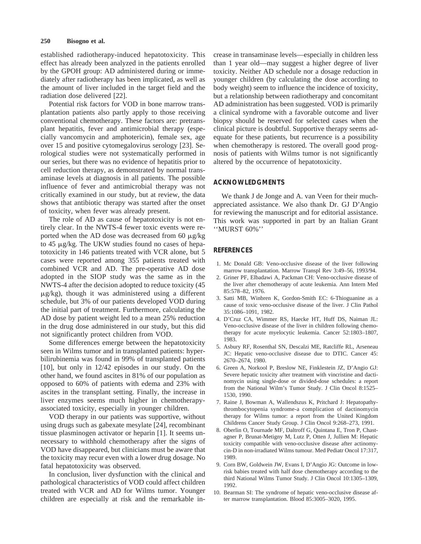established radiotherapy-induced hepatotoxicity. This effect has already been analyzed in the patients enrolled by the GPOH group: AD administered during or immediately after radiotherapy has been implicated, as well as the amount of liver included in the target field and the radiation dose delivered [22].

Potential risk factors for VOD in bone marrow transplantation patients also partly apply to those receiving conventional chemotherapy. These factors are: pretransplant hepatitis, fever and antimicrobial therapy (especially vancomycin and amphotericin), female sex, age over 15 and positive cytomegalovirus serology [23]. Serological studies were not systematically performed in our series, but there was no evidence of hepatitis prior to cell reduction therapy, as demonstrated by normal transaminase levels at diagnosis in all patients. The possible influence of fever and antimicrobial therapy was not critically examined in our study, but at review, the data shows that antibiotic therapy was started after the onset of toxicity, when fever was already present.

The role of AD as cause of hepatotoxicity is not entirely clear. In the NWTS-4 fewer toxic events were reported when the AD dose was decreased from 60  $\mu$ g/kg to 45 μg/kg. The UKW studies found no cases of hepatotoxicity in 146 patients treated with VCR alone, but 5 cases were reported among 355 patients treated with combined VCR and AD. The pre-operative AD dose adopted in the SIOP study was the same as in the NWTS-4 after the decision adopted to reduce toxicity (45  $\mu$ g/kg), though it was administered using a different schedule, but 3% of our patients developed VOD during the initial part of treatment. Furthermore, calculating the AD dose by patient weight led to a mean 25% reduction in the drug dose administered in our study, but this did not significantly protect children from VOD.

Some differences emerge between the hepatotoxicity seen in Wilms tumor and in transplanted patients: hyperbilirubinemia was found in 99% of transplanted patients [10], but only in 12/42 episodes in our study. On the other hand, we found ascites in 81% of our population as opposed to 60% of patients with edema and 23% with ascites in the transplant setting. Finally, the increase in liver enzymes seems much higher in chemotherapyassociated toxicity, especially in younger children.

VOD therapy in our patients was supportive, without using drugs such as gabexate mesylate [24], recombinant tissue plasminogen activator or heparin [1]. It seems unnecessary to withhold chemotherapy after the signs of VOD have disappeared, but clinicians must be aware that the toxicity may recur even with a lower drug dosage. No fatal hepatotoxicity was observed.

In conclusion, liver dysfunction with the clinical and pathological characteristics of VOD could affect children treated with VCR and AD for Wilms tumor. Younger children are especially at risk and the remarkable increase in transaminase levels—especially in children less than 1 year old—may suggest a higher degree of liver toxicity. Neither AD schedule nor a dosage reduction in younger children (by calculating the dose according to body weight) seem to influence the incidence of toxicity, but a relationship between radiotherapy and concomitant AD administration has been suggested. VOD is primarily a clinical syndrome with a favorable outcome and liver biopsy should be reserved for selected cases when the clinical picture is doubtful. Supportive therapy seems adequate for these patients, but recurrence is a possibility when chemotherapy is restored. The overall good prognosis of patients with Wilms tumor is not significantly altered by the occurrence of hepatotoxicity.

#### **ACKNOWLEDGMENTS**

We thank J de Jonge and A. van Veen for their muchappreciated assistance. We also thank Dr. GJ D'Angio for reviewing the manuscript and for editorial assistance. This work was supported in part by an Italian Grant ''MURST 60%''

#### **REFERENCES**

- 1. Mc Donald GB: Veno-occlusive disease of the liver following marrow transplantation. Marrow Transpl Rev 3:49–56, 1993/94.
- 2. Griner PF, Elbadawi A, Packman CH: Veno-occlusive disease of the liver after chemotherapy of acute leukemia. Ann Intern Med 85:578–82, 1976.
- 3. Satti MB, Winbren K, Gordon-Smith EC: 6-Thioguanine as a cause of toxic veno-occlusive disease of the liver. J Clin Pathol 35:1086–1091, 1982.
- 4. D'Cruz CA, Wimmer RS, Haecke HT, Huff DS, Naiman JL: Veno-occlusive disease of the liver in children following chemotherapy for acute myelocytic leukemia. Cancer 52:1803–1807, 1983.
- 5. Asbury RF, Rosenthal SN, Descalzi ME, Ratcliffe RL, Arseneau JC: Hepatic veno-occlusive disease due to DTIC. Cancer 45: 2670–2674, 1980.
- 6. Green A, Norkool P, Breslow NE, Finklestein JZ, D'Angio GJ: Severe hepatic toxicity after treatment with vincristine and dactinomycin using single-dose or divided-dose schedules: a report from the National Wilm's Tumor Study. J Clin Oncol 8:1525– 1530, 1990.
- 7. Raine J, Bowman A, Wallendszus K, Pritchard J: Hepatopathythrombocytopenia syndrome-a complication of dactinomycin therapy for Wilms tumor: a report from the United Kingdom Childrens Cancer Study Group. J Clin Oncol 9:268–273, 1991.
- 8. Oberlin O, Tournade MF, Daltroff G, Quintana E, Tron P, Chastagner P, Brunat-Metigny M, Lutz P, Otten J, Jullien M: Hepatic toxicity compatible with veno-occlusive disease after actinomycin-D in non-irradiated Wilms tumour. Med Pediatr Oncol 17:317, 1989.
- 9. Corn BW, Goldwein JW, Evans I, D'Angio JG: Outcome in lowrisk babies treated with half dose chemotherapy according to the third National Wilms Tumor Study. J Clin Oncol 10:1305–1309, 1992.
- 10. Bearman SI: The syndrome of hepatic veno-occlusive disease after marrow transplantation. Blood 85:3005–3020, 1995.